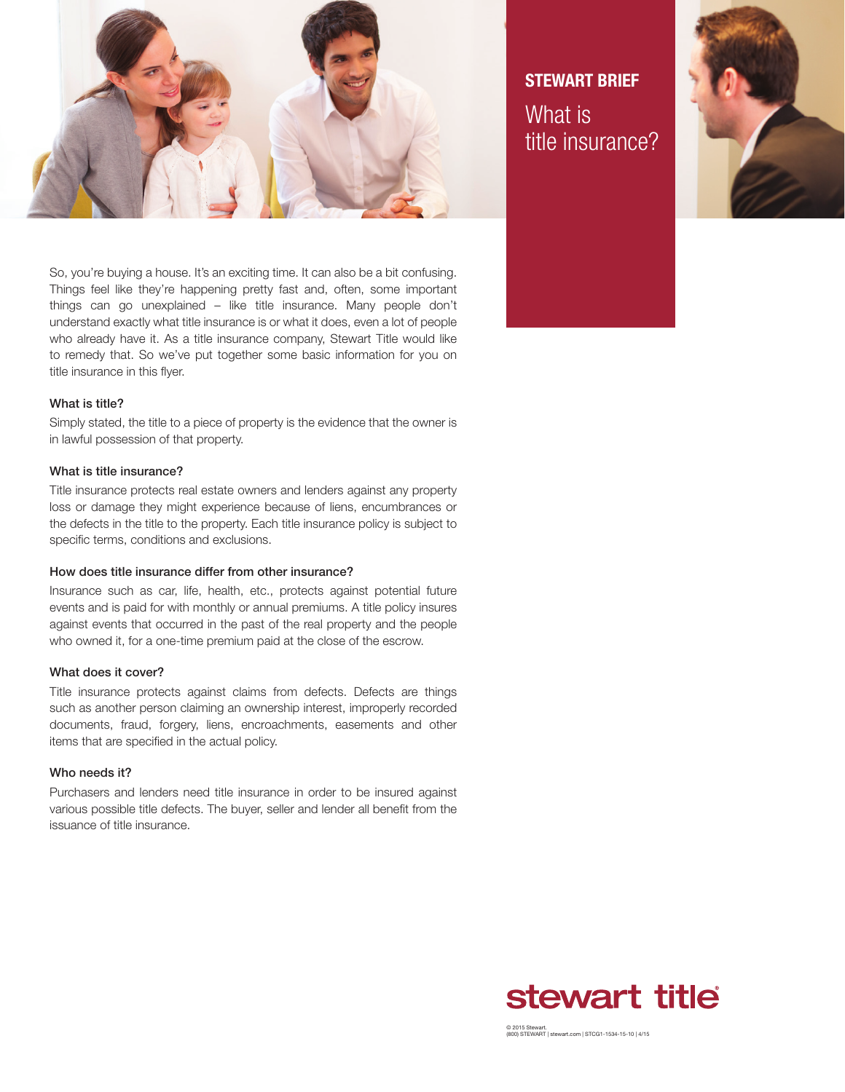

So, you're buying a house. It's an exciting time. It can also be a bit confusing. Things feel like they're happening pretty fast and, often, some important things can go unexplained – like title insurance. Many people don't understand exactly what title insurance is or what it does, even a lot of people who already have it. As a title insurance company, Stewart Title would like to remedy that. So we've put together some basic information for you on title insurance in this flyer.

## What is title?

Simply stated, the title to a piece of property is the evidence that the owner is in lawful possession of that property.

## What is title insurance?

Title insurance protects real estate owners and lenders against any property loss or damage they might experience because of liens, encumbrances or the defects in the title to the property. Each title insurance policy is subject to specific terms, conditions and exclusions.

### How does title insurance differ from other insurance?

Insurance such as car, life, health, etc., protects against potential future events and is paid for with monthly or annual premiums. A title policy insures against events that occurred in the past of the real property and the people who owned it, for a one-time premium paid at the close of the escrow.

## What does it cover?

Title insurance protects against claims from defects. Defects are things such as another person claiming an ownership interest, improperly recorded documents, fraud, forgery, liens, encroachments, easements and other items that are specified in the actual policy.

## Who needs it?

Purchasers and lenders need title insurance in order to be insured against various possible title defects. The buyer, seller and lender all benefit from the issuance of title insurance.

**STEWART BRIEF** What is title insurance?





© 2015 Stewart. (800) STEWART | stewart.com | STCG1-1534-15-10 | 4/15